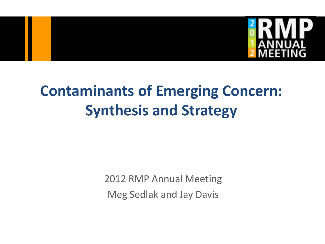

### **Contaminants of Emerging Concern: Synthesis and Strategy**

2012 RMP Annual Meeting Meg Sedlak and Jay Davis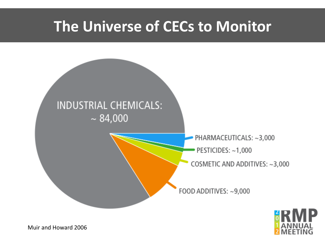#### **The Universe of CECs to Monitor**





Muir and Howard 2006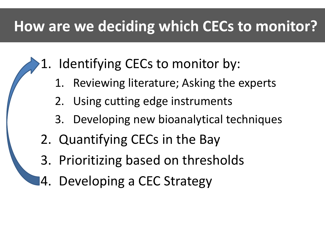#### **How are we deciding which CECs to monitor?**

- 1. Identifying CECs to monitor by:
	- 1. Reviewing literature; Asking the experts
	- 2. Using cutting edge instruments
	- 3. Developing new bioanalytical techniques
- 2. Quantifying CECs in the Bay
- 3. Prioritizing based on thresholds
- 4. Developing a CEC Strategy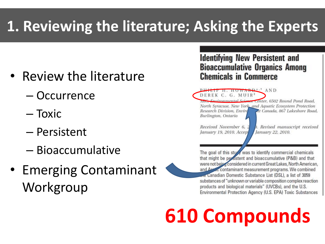### **1. Reviewing the literature; Asking the Experts**

- Review the literature
	- Occurrence
	- Toxic
	- Persistent
	- Bioaccumulative
- Emerging Contaminant Workgroup

#### **Identifying New Persistent and Bioaccumulative Organics Among Chemicals in Commerce**

PHILIP H. HOWARD<sup>\*</sup>' AND DEREK C. G. MUIR<sup>4</sup> SRC, Environmental Science Center, 6502 Round Pond Road, North Syracuse, New York, and Aquatic Ecosystem Protection Research Division, Envird At Canada, 867 Lakeshore Road, Burlington, Ontario

Received November 6. January 19, 2010. Accep b. Revised manuscript received January 22, 2010.

The goal of this study was to identify commercial chemicals that might be persistent and bioaccumulative (P&B) and that were not being considered in current Great Lakes, North American, and Artic contaminant measurement programs. We combined are Canadian Domestic Substance List (DSL), a list of 3059 substances of "unknown or variable composition complex reaction products and biological materials" (UVCBs), and the U.S. Environmental Protection Agency (U.S. EPA) Toxic Substances

# **610 Compounds**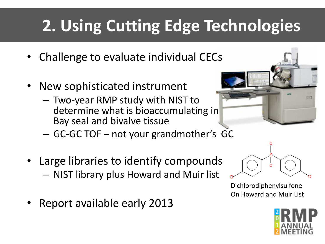## **2. Using Cutting Edge Technologies**

- Challenge to evaluate individual CECs
- New sophisticated instrument
	- Two-year RMP study with NIST to determine what is bioaccumulating in Bay seal and bivalve tissue



- Large libraries to identify compounds – NIST library plus Howard and Muir list
- Report available early 2013



Dichlorodiphenylsulfone On Howard and Muir List

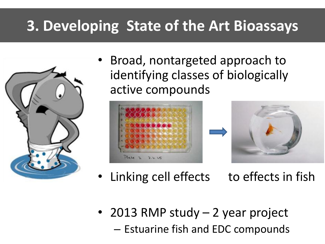#### **3. Developing State of the Art Bioassays**



• Broad, nontargeted approach to identifying classes of biologically active compounds



- Linking cell effects to effects in fish
- 2013 RMP study 2 year project – Estuarine fish and EDC compounds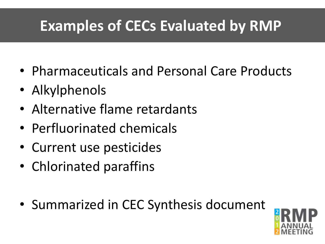#### **Examples of CECs Evaluated by RMP**

- Pharmaceuticals and Personal Care Products
- Alkylphenols
- Alternative flame retardants
- Perfluorinated chemicals
- Current use pesticides
- Chlorinated paraffins
- Summarized in CEC Synthesis document

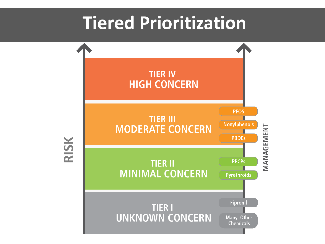### **Tiered Prioritization**

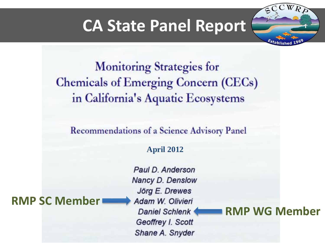#### **CA State Panel Report**

**Monitoring Strategies for Chemicals of Emerging Concern (CECs)** in California's Aquatic Ecosystems

**Recommendations of a Science Advisory Panel** 

**April 2012**

**RMP SC Member**

Paul D. Anderson Nancy D. Denslow Jörg E. Drewes Adam W. Olivieri **Daniel Schlenk** Geoffrey I. Scott Shane A. Snyder

**RMP WG Member**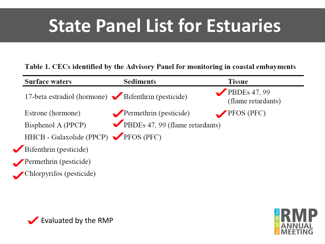## **State Panel List for Estuaries**

#### Table 1. CECs identified by the Advisory Panel for monitoring in coastal embayments

| <b>Surface waters</b>                              | <b>Sediments</b>                      | <b>Tissue</b>                        |
|----------------------------------------------------|---------------------------------------|--------------------------------------|
| 17-beta estradiol (hormone) Bifenthrin (pesticide) |                                       | PBDEs $47, 99$<br>(flame retardants) |
| Estrone (hormone)                                  | $\blacksquare$ Permethrin (pesticide) | 'PFOS (PFC)                          |
| Bisphenol A (PPCP)                                 | PBDEs 47, 99 (flame retardants)       |                                      |
| HHCB - Galaxolide (PPCP) PFOS (PFC)                |                                       |                                      |
| Bifenthrin (pesticide)                             |                                       |                                      |
| Permethrin (pesticide)                             |                                       |                                      |
| Chlorpyrifos (pesticide)                           |                                       |                                      |



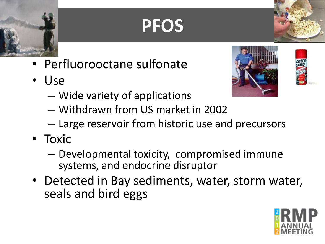## **PFOS**

- Perfluorooctane sulfonate
- Use





- Wide variety of applications
- Withdrawn from US market in 2002
- Large reservoir from historic use and precursors
- Toxic
	- Developmental toxicity, compromised immune systems, and endocrine disruptor
- Detected in Bay sediments, water, storm water, seals and bird eggs

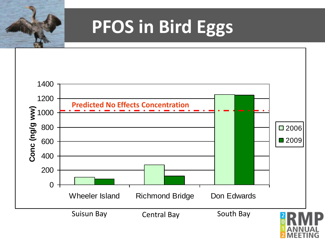

## **PFOS in Bird Eggs**

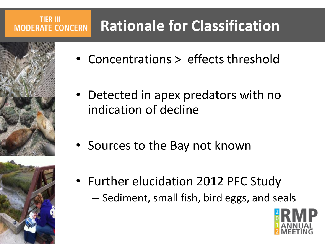#### **Rationale for Classification MODERATE CONCERN**



**TIER III** 



- Concentrations > effects threshold
- Detected in apex predators with no indication of decline
- Sources to the Bay not known
- Further elucidation 2012 PFC Study – Sediment, small fish, bird eggs, and seals

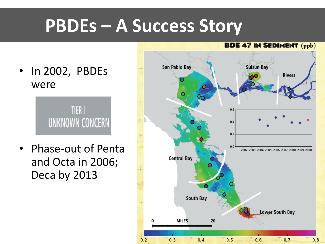## **PBDEs – A Success Story**

• In 2002, PBDEs were

> **TIER I UNKNOWN CONCERN**

• Phase-out of Penta and Octa in 2006; Deca by 2013

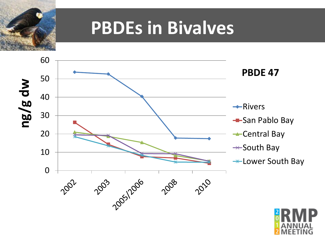

### **PBDEs in Bivalves**



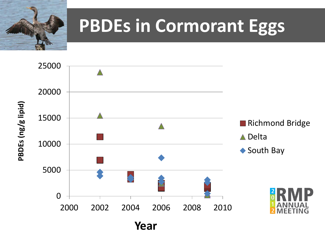

## **PBDEs in Cormorant Eggs**

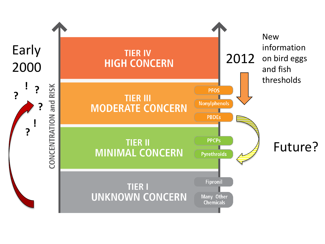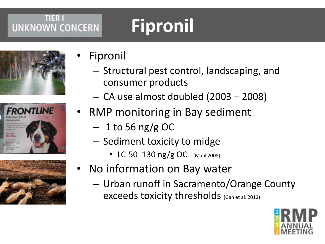#### **TIER I UNKNOWN CONCERN**

# **Fipronil**







- **Fipronil** 
	- Structural pest control, landscaping, and consumer products
	- CA use almost doubled (2003 2008)
- RMP monitoring in Bay sediment
	- $-1$  to 56 ng/g OC
	- Sediment toxicity to midge
		- LC-50 130 ng/g OC (Maul 2008)
- No information on Bay water
	- Urban runoff in Sacramento/Orange County exceeds toxicity thresholds (Gan et al. 2012)

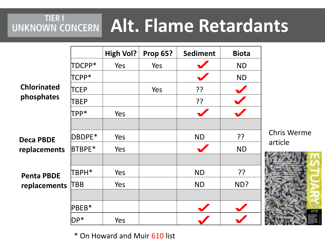# **UNKNOWN CONCERN Alt. Flame Retardants**

|                                   |            | <b>High Vol?</b> | <b>Prop 65?</b> | <b>Sediment</b> | <b>Biota</b> |             |
|-----------------------------------|------------|------------------|-----------------|-----------------|--------------|-------------|
| <b>Chlorinated</b><br>phosphates  | TDCPP*     | Yes              | Yes             |                 | <b>ND</b>    |             |
|                                   | TCPP*      |                  |                 |                 | <b>ND</b>    |             |
|                                   | TCEP       |                  | Yes             | ??              |              |             |
|                                   | TBEP       |                  |                 | ??              |              |             |
|                                   | TPP*       | Yes              |                 |                 |              |             |
|                                   |            |                  |                 |                 |              |             |
| <b>Deca PBDE</b>                  | DBDPE*     | Yes              |                 | <b>ND</b>       | ??           | $\mathsf C$ |
| replacements                      | BTBPE*     | Yes              |                 |                 | <b>ND</b>    | a           |
|                                   |            |                  |                 |                 |              |             |
| <b>Penta PBDE</b><br>replacements | TBPH*      | Yes              |                 | <b>ND</b>       | ??           |             |
|                                   | <b>TBB</b> | Yes              |                 | <b>ND</b>       | ND?          |             |
|                                   |            |                  |                 |                 |              |             |
|                                   | PBEB*      |                  |                 |                 |              |             |
|                                   | $DP*$      | Yes              |                 |                 |              |             |

Chris Werme article



\* On Howard and Muir 610 list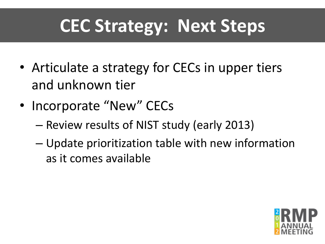### **CEC Strategy: Next Steps**

- Articulate a strategy for CECs in upper tiers and unknown tier
- Incorporate "New" CECs
	- Review results of NIST study (early 2013)
	- Update prioritization table with new information as it comes available

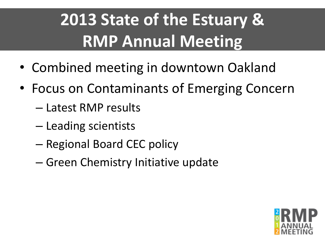## **2013 State of the Estuary & RMP Annual Meeting**

- Combined meeting in downtown Oakland
- Focus on Contaminants of Emerging Concern
	- Latest RMP results
	- Leading scientists
	- Regional Board CEC policy
	- Green Chemistry Initiative update